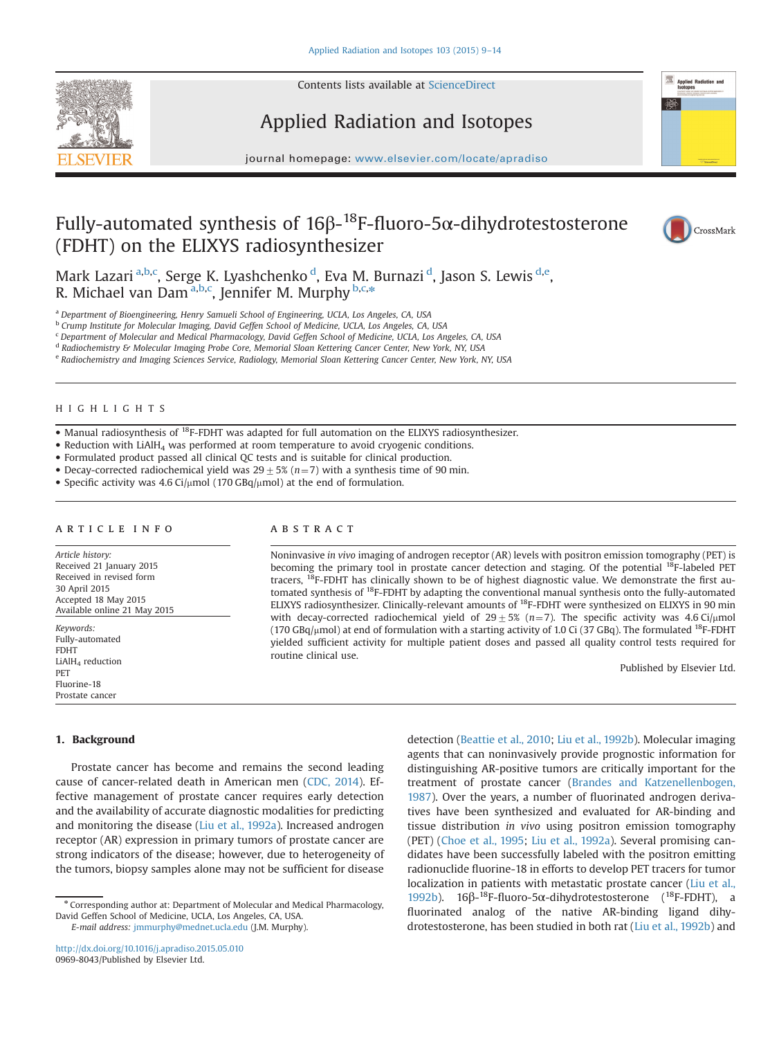

Contents lists available at [ScienceDirect](www.sciencedirect.com/science/journal/09698043)

# Applied Radiation and Isotopes

journal homepage: <www.elsevier.com/locate/apradiso>

# Fully-automated synthesis of 16β- $^{18}$ F-fluoro-5 $\alpha$ -dihydrotestosterone (FDHT) on the ELIXYS radiosynthesizer



**Applied Radiation and** 

Mark Lazari <sup>a,b,c</sup>, Serge K. Lyashchenko <sup>d</sup>, Eva M. Burnazi <sup>d</sup>, Jason S. Lewis <sup>d,e</sup>, R. Michael van Dam<sup>a,b,c</sup>, Jennifer M. Murphy <sup>b,c,\*</sup>

<sup>a</sup> Department of Bioengineering, Henry Samueli School of Engineering, UCLA, Los Angeles, CA, USA

<sup>b</sup> Crump Institute for Molecular Imaging, David Geffen School of Medicine, UCLA, Los Angeles, CA, USA

<sup>c</sup> Department of Molecular and Medical Pharmacology, David Geffen School of Medicine, UCLA, Los Angeles, CA, USA

<sup>d</sup> Radiochemistry & Molecular Imaging Probe Core, Memorial Sloan Kettering Cancer Center, New York, NY, USA

<sup>e</sup> Radiochemistry and Imaging Sciences Service, Radiology, Memorial Sloan Kettering Cancer Center, New York, NY, USA

#### HIGHLIGHTS

• Manual radiosynthesis of <sup>18</sup>F-FDHT was adapted for full automation on the ELIXYS radiosynthesizer.

- Reduction with LiAlH<sub>4</sub> was performed at room temperature to avoid cryogenic conditions.
- Formulated product passed all clinical QC tests and is suitable for clinical production.
- Decay-corrected radiochemical yield was  $29 \pm 5\%$  (n=7) with a synthesis time of 90 min.
- Specific activity was 4.6 Ci/ $\mu$ mol (170 GBq/ $\mu$ mol) at the end of formulation.

### article info

Article history: Received 21 January 2015 Received in revised form 30 April 2015 Accepted 18 May 2015 Available online 21 May 2015 Keywords:

Fully-automated FDHT LiAlH<sub>4</sub> reduction PET Fluorine-18 Prostate cancer

# ABSTRACT

Noninvasive in vivo imaging of androgen receptor (AR) levels with positron emission tomography (PET) is becoming the primary tool in prostate cancer detection and staging. Of the potential <sup>18</sup>F-labeled PET tracers, 18F-FDHT has clinically shown to be of highest diagnostic value. We demonstrate the first automated synthesis of 18F-FDHT by adapting the conventional manual synthesis onto the fully-automated ELIXYS radiosynthesizer. Clinically-relevant amounts of <sup>18</sup>F-FDHT were synthesized on ELIXYS in 90 min with decay-corrected radiochemical yield of  $29 \pm 5\%$  (n=7). The specific activity was 4.6 Ci/ $\mu$ mol (170 GBq/ $\mu$ mol) at end of formulation with a starting activity of 1.0 Ci (37 GBq). The formulated <sup>18</sup>F-FDHT yielded sufficient activity for multiple patient doses and passed all quality control tests required for routine clinical use.

Published by Elsevier Ltd.

# 1. Background

Prostate cancer has become and remains the second leading cause of cancer-related death in American men ([CDC, 2014](#page-5-0)). Effective management of prostate cancer requires early detection and the availability of accurate diagnostic modalities for predicting and monitoring the disease [\(Liu et al., 1992a\)](#page-5-0). Increased androgen receptor (AR) expression in primary tumors of prostate cancer are strong indicators of the disease; however, due to heterogeneity of the tumors, biopsy samples alone may not be sufficient for disease

<http://dx.doi.org/10.1016/j.apradiso.2015.05.010> 0969-8043/Published by Elsevier Ltd.

detection [\(Beattie et al., 2010](#page-5-0); [Liu et al., 1992b\)](#page-5-0). Molecular imaging agents that can noninvasively provide prognostic information for distinguishing AR-positive tumors are critically important for the treatment of prostate cancer [\(Brandes and Katzenellenbogen,](#page-5-0) [1987](#page-5-0)). Over the years, a number of fluorinated androgen derivatives have been synthesized and evaluated for AR-binding and tissue distribution in vivo using positron emission tomography (PET) [\(Choe et al., 1995;](#page-5-0) [Liu et al., 1992a\)](#page-5-0). Several promising candidates have been successfully labeled with the positron emitting radionuclide fluorine-18 in efforts to develop PET tracers for tumor localization in patients with metastatic prostate cancer ([Liu et al.,](#page-5-0) [1992b\)](#page-5-0). 16β-18F-fluoro-5α-dihydrotestosterone (18F-FDHT), a fluorinated analog of the native AR-binding ligand dihydrotestosterone, has been studied in both rat [\(Liu et al., 1992b](#page-5-0)) and

<sup>n</sup> Corresponding author at: Department of Molecular and Medical Pharmacology, David Geffen School of Medicine, UCLA, Los Angeles, CA, USA. E-mail address: [jmmurphy@mednet.ucla.edu](mailto:jmmurphy@mednet.ucla.edu) (J.M. Murphy).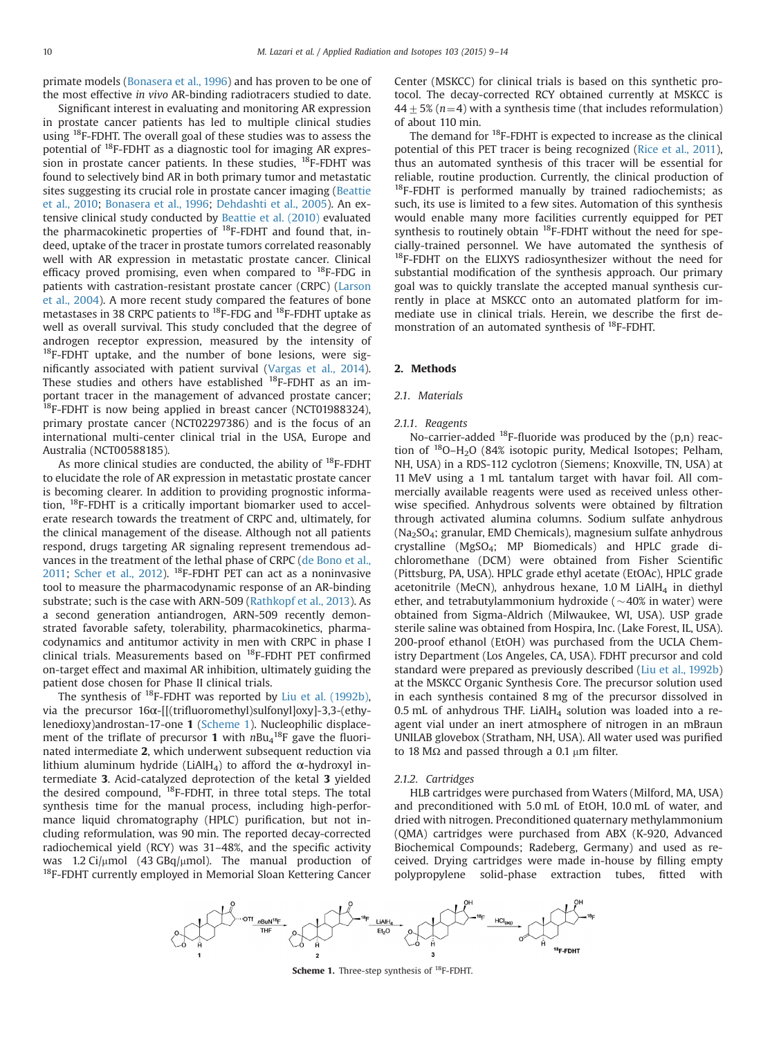<span id="page-1-0"></span>primate models [\(Bonasera et al., 1996\)](#page-5-0) and has proven to be one of the most effective in vivo AR-binding radiotracers studied to date.

Significant interest in evaluating and monitoring AR expression in prostate cancer patients has led to multiple clinical studies using 18F-FDHT. The overall goal of these studies was to assess the potential of 18F-FDHT as a diagnostic tool for imaging AR expression in prostate cancer patients. In these studies,  $^{18}$ F-FDHT was found to selectively bind AR in both primary tumor and metastatic sites suggesting its crucial role in prostate cancer imaging [\(Beattie](#page-5-0) [et al., 2010;](#page-5-0) [Bonasera et al., 1996;](#page-5-0) [Dehdashti et al., 2005](#page-5-0)). An extensive clinical study conducted by [Beattie et al. \(2010\)](#page-5-0) evaluated the pharmacokinetic properties of  $^{18}$ F-FDHT and found that, indeed, uptake of the tracer in prostate tumors correlated reasonably well with AR expression in metastatic prostate cancer. Clinical efficacy proved promising, even when compared to  $^{18}$ F-FDG in patients with castration-resistant prostate cancer (CRPC) ([Larson](#page-5-0) [et al., 2004\)](#page-5-0). A more recent study compared the features of bone metastases in 38 CRPC patients to 18F-FDG and 18F-FDHT uptake as well as overall survival. This study concluded that the degree of androgen receptor expression, measured by the intensity of <sup>18</sup>F-FDHT uptake, and the number of bone lesions, were significantly associated with patient survival ([Vargas et al., 2014\)](#page-5-0). These studies and others have established <sup>18</sup>F-FDHT as an important tracer in the management of advanced prostate cancer; <sup>18</sup>F-FDHT is now being applied in breast cancer (NCT01988324), primary prostate cancer (NCT02297386) and is the focus of an international multi-center clinical trial in the USA, Europe and Australia (NCT00588185).

As more clinical studies are conducted, the ability of  $^{18}$ F-FDHT to elucidate the role of AR expression in metastatic prostate cancer is becoming clearer. In addition to providing prognostic information, 18F-FDHT is a critically important biomarker used to accelerate research towards the treatment of CRPC and, ultimately, for the clinical management of the disease. Although not all patients respond, drugs targeting AR signaling represent tremendous advances in the treatment of the lethal phase of CRPC ([de Bono et al.,](#page-5-0) [2011;](#page-5-0) [Scher et al., 2012](#page-5-0)). 18F-FDHT PET can act as a noninvasive tool to measure the pharmacodynamic response of an AR-binding substrate; such is the case with ARN-509 [\(Rathkopf et al., 2013\)](#page-5-0). As a second generation antiandrogen, ARN-509 recently demonstrated favorable safety, tolerability, pharmacokinetics, pharmacodynamics and antitumor activity in men with CRPC in phase I clinical trials. Measurements based on 18F-FDHT PET confirmed on-target effect and maximal AR inhibition, ultimately guiding the patient dose chosen for Phase II clinical trials.

The synthesis of <sup>18</sup>F-FDHT was reported by [Liu et al. \(1992b\),](#page-5-0) via the precursor 16α-[[(trifluoromethyl)sulfonyl]oxy]-3,3-(ethylenedioxy)androstan-17-one 1 (Scheme 1). Nucleophilic displacement of the triflate of precursor 1 with  $nBu_4^{18}F$  gave the fluorinated intermediate 2, which underwent subsequent reduction via lithium aluminum hydride (LiAlH<sub>4</sub>) to afford the α-hydroxyl intermediate 3. Acid-catalyzed deprotection of the ketal 3 yielded the desired compound,  $^{18}$ F-FDHT, in three total steps. The total synthesis time for the manual process, including high-performance liquid chromatography (HPLC) purification, but not including reformulation, was 90 min. The reported decay-corrected radiochemical yield (RCY) was 31–48%, and the specific activity was 1.2 Ci/ $\mu$ mol (43 GBq/ $\mu$ mol). The manual production of <sup>18</sup>F-FDHT currently employed in Memorial Sloan Kettering Cancer Center (MSKCC) for clinical trials is based on this synthetic protocol. The decay-corrected RCY obtained currently at MSKCC is  $44\pm5\%$  (n=4) with a synthesis time (that includes reformulation) of about 110 min.

The demand for 18F-FDHT is expected to increase as the clinical potential of this PET tracer is being recognized ([Rice et al., 2011\)](#page-5-0), thus an automated synthesis of this tracer will be essential for reliable, routine production. Currently, the clinical production of  $^{18}$ F-FDHT is performed manually by trained radiochemists; as such, its use is limited to a few sites. Automation of this synthesis would enable many more facilities currently equipped for PET synthesis to routinely obtain  $^{18}$ F-FDHT without the need for specially-trained personnel. We have automated the synthesis of <sup>18</sup>F-FDHT on the ELIXYS radiosynthesizer without the need for substantial modification of the synthesis approach. Our primary goal was to quickly translate the accepted manual synthesis currently in place at MSKCC onto an automated platform for immediate use in clinical trials. Herein, we describe the first demonstration of an automated synthesis of 18F-FDHT.

#### 2. Methods

#### 2.1. Materials

#### 2.1.1. Reagents

No-carrier-added  $^{18}F$ -fluoride was produced by the (p,n) reaction of  $^{18}O-H_2O$  (84% isotopic purity, Medical Isotopes; Pelham, NH, USA) in a RDS-112 cyclotron (Siemens; Knoxville, TN, USA) at 11 MeV using a 1 mL tantalum target with havar foil. All commercially available reagents were used as received unless otherwise specified. Anhydrous solvents were obtained by filtration through activated alumina columns. Sodium sulfate anhydrous  $(Na<sub>2</sub>SO<sub>4</sub>; granular, EMD Chemicals), magnesium sulfate anhydrous$ crystalline (MgSO4; MP Biomedicals) and HPLC grade dichloromethane (DCM) were obtained from Fisher Scientific (Pittsburg, PA, USA). HPLC grade ethyl acetate (EtOAc), HPLC grade acetonitrile (MeCN), anhydrous hexane,  $1.0 M$  LiAlH<sub>4</sub> in diethyl ether, and tetrabutylammonium hydroxide ( $\sim$ 40% in water) were obtained from Sigma-Aldrich (Milwaukee, WI, USA). USP grade sterile saline was obtained from Hospira, Inc. (Lake Forest, IL, USA). 200-proof ethanol (EtOH) was purchased from the UCLA Chemistry Department (Los Angeles, CA, USA). FDHT precursor and cold standard were prepared as previously described [\(Liu et al., 1992b\)](#page-5-0) at the MSKCC Organic Synthesis Core. The precursor solution used in each synthesis contained 8 mg of the precursor dissolved in 0.5 mL of anhydrous THF. LiAlH $_4$  solution was loaded into a reagent vial under an inert atmosphere of nitrogen in an mBraun UNILAB glovebox (Stratham, NH, USA). All water used was purified to 18 M $\Omega$  and passed through a 0.1  $\mu$ m filter.

## 2.1.2. Cartridges

HLB cartridges were purchased from Waters (Milford, MA, USA) and preconditioned with 5.0 mL of EtOH, 10.0 mL of water, and dried with nitrogen. Preconditioned quaternary methylammonium (QMA) cartridges were purchased from ABX (K-920, Advanced Biochemical Compounds; Radeberg, Germany) and used as received. Drying cartridges were made in-house by filling empty polypropylene solid-phase extraction tubes, fitted with



Scheme 1. Three-step synthesis of <sup>18</sup>F-FDHT.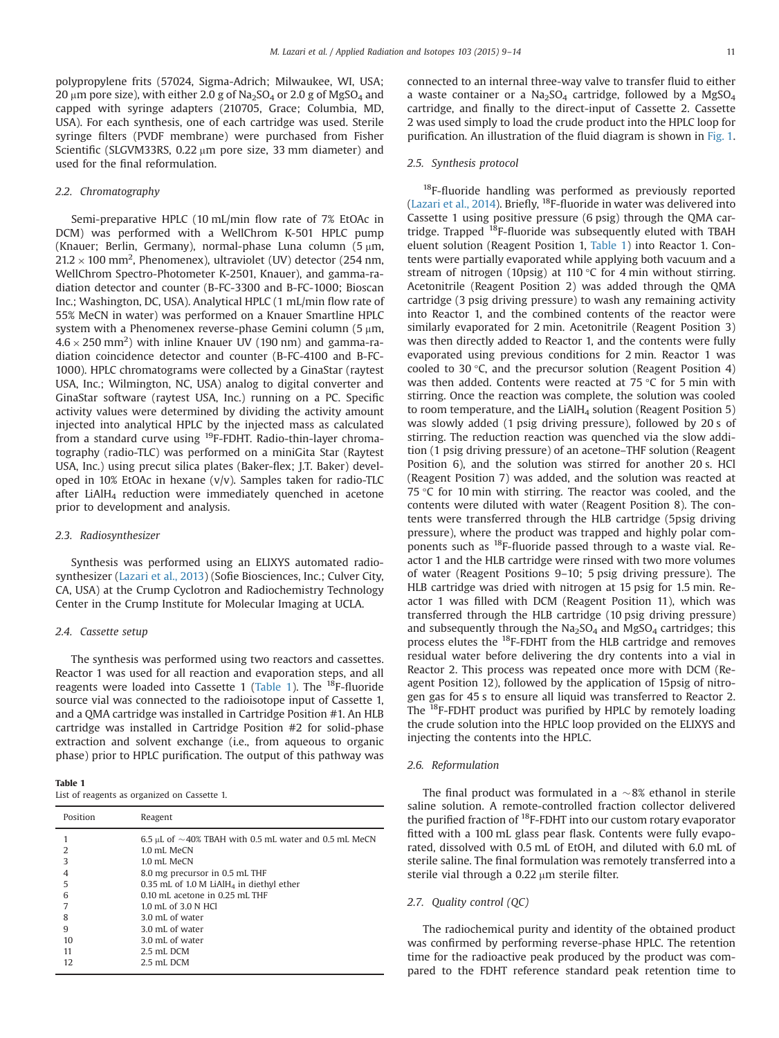polypropylene frits (57024, Sigma-Adrich; Milwaukee, WI, USA; 20  $\mu$ m pore size), with either 2.0 g of Na<sub>2</sub>SO<sub>4</sub> or 2.0 g of MgSO<sub>4</sub> and capped with syringe adapters (210705, Grace; Columbia, MD, USA). For each synthesis, one of each cartridge was used. Sterile syringe filters (PVDF membrane) were purchased from Fisher Scientific (SLGVM33RS, 0.22  $\mu$ m pore size, 33 mm diameter) and used for the final reformulation.

## 2.2. Chromatography

Semi-preparative HPLC (10 mL/min flow rate of 7% EtOAc in DCM) was performed with a WellChrom K-501 HPLC pump (Knauer: Berlin, Germany), normal-phase Luna column  $(5 \text{ nm})$  $21.2 \times 100$  mm<sup>2</sup>, Phenomenex), ultraviolet (UV) detector (254 nm, WellChrom Spectro-Photometer K-2501, Knauer), and gamma-radiation detector and counter (B-FC-3300 and B-FC-1000; Bioscan Inc.; Washington, DC, USA). Analytical HPLC (1 mL/min flow rate of 55% MeCN in water) was performed on a Knauer Smartline HPLC system with a Phenomenex reverse-phase Gemini column (5 um,  $4.6 \times 250$  mm<sup>2</sup>) with inline Knauer UV (190 nm) and gamma-radiation coincidence detector and counter (B-FC-4100 and B-FC-1000). HPLC chromatograms were collected by a GinaStar (raytest USA, Inc.; Wilmington, NC, USA) analog to digital converter and GinaStar software (raytest USA, Inc.) running on a PC. Specific activity values were determined by dividing the activity amount injected into analytical HPLC by the injected mass as calculated from a standard curve using 19F-FDHT. Radio-thin-layer chromatography (radio-TLC) was performed on a miniGita Star (Raytest USA, Inc.) using precut silica plates (Baker-flex; J.T. Baker) developed in 10% EtOAc in hexane (v/v). Samples taken for radio-TLC after LiAlH<sub>4</sub> reduction were immediately quenched in acetone prior to development and analysis.

#### 2.3. Radiosynthesizer

Synthesis was performed using an ELIXYS automated radiosynthesizer [\(Lazari et al., 2013](#page-5-0)) (Sofie Biosciences, Inc.; Culver City, CA, USA) at the Crump Cyclotron and Radiochemistry Technology Center in the Crump Institute for Molecular Imaging at UCLA.

### 2.4. Cassette setup

The synthesis was performed using two reactors and cassettes. Reactor 1 was used for all reaction and evaporation steps, and all reagents were loaded into Cassette 1 (Table 1). The  $^{18}$ F-fluoride source vial was connected to the radioisotope input of Cassette 1, and a QMA cartridge was installed in Cartridge Position #1. An HLB cartridge was installed in Cartridge Position #2 for solid-phase extraction and solvent exchange (i.e., from aqueous to organic phase) prior to HPLC purification. The output of this pathway was

Table 1 List of reagents as organized on Cassette 1.

| Position | Reagent                                                          |
|----------|------------------------------------------------------------------|
|          | 6.5 $\mu$ L of $\sim$ 40% TBAH with 0.5 mL water and 0.5 mL MeCN |
| 2        | 1.0 mL MeCN                                                      |
| 3        | 1.0 mL MeCN                                                      |
| 4        | 8.0 mg precursor in 0.5 mL THF                                   |
| 5        | 0.35 mL of 1.0 M LiAlH <sub>4</sub> in diethyl ether             |
| 6        | $0.10$ mL acetone in $0.25$ mL THF                               |
|          | 1.0 mL of 3.0 N HCl                                              |
| 8        | 3.0 mL of water                                                  |
| 9        | 3.0 mL of water                                                  |
| 10       | 3.0 mL of water                                                  |
| 11       | 2.5 mL DCM                                                       |
| 12       | 2.5 mL DCM                                                       |

connected to an internal three-way valve to transfer fluid to either a waste container or a  $Na<sub>2</sub>SO<sub>4</sub>$  cartridge, followed by a  $MgSO<sub>4</sub>$ cartridge, and finally to the direct-input of Cassette 2. Cassette 2 was used simply to load the crude product into the HPLC loop for purification. An illustration of the fluid diagram is shown in [Fig. 1.](#page-3-0)

#### 2.5. Synthesis protocol

<sup>18</sup>F-fluoride handling was performed as previously reported ([Lazari et al., 2014](#page-5-0)). Briefly, 18F-fluoride in water was delivered into Cassette 1 using positive pressure (6 psig) through the QMA cartridge. Trapped 18F-fluoride was subsequently eluted with TBAH eluent solution (Reagent Position 1, Table 1) into Reactor 1. Contents were partially evaporated while applying both vacuum and a stream of nitrogen (10psig) at 110 °C for 4 min without stirring. Acetonitrile (Reagent Position 2) was added through the QMA cartridge (3 psig driving pressure) to wash any remaining activity into Reactor 1, and the combined contents of the reactor were similarly evaporated for 2 min. Acetonitrile (Reagent Position 3) was then directly added to Reactor 1, and the contents were fully evaporated using previous conditions for 2 min. Reactor 1 was cooled to 30 °C, and the precursor solution (Reagent Position 4) was then added. Contents were reacted at 75 °C for 5 min with stirring. Once the reaction was complete, the solution was cooled to room temperature, and the  $LiAlH<sub>4</sub>$  solution (Reagent Position 5) was slowly added (1 psig driving pressure), followed by 20 s of stirring. The reduction reaction was quenched via the slow addition (1 psig driving pressure) of an acetone–THF solution (Reagent Position 6), and the solution was stirred for another 20 s. HCl (Reagent Position 7) was added, and the solution was reacted at 75 °C for 10 min with stirring. The reactor was cooled, and the contents were diluted with water (Reagent Position 8). The contents were transferred through the HLB cartridge (5psig driving pressure), where the product was trapped and highly polar components such as 18F-fluoride passed through to a waste vial. Reactor 1 and the HLB cartridge were rinsed with two more volumes of water (Reagent Positions 9–10; 5 psig driving pressure). The HLB cartridge was dried with nitrogen at 15 psig for 1.5 min. Reactor 1 was filled with DCM (Reagent Position 11), which was transferred through the HLB cartridge (10 psig driving pressure) and subsequently through the  $Na<sub>2</sub>SO<sub>4</sub>$  and  $MgSO<sub>4</sub>$  cartridges; this process elutes the 18F-FDHT from the HLB cartridge and removes residual water before delivering the dry contents into a vial in Reactor 2. This process was repeated once more with DCM (Reagent Position 12), followed by the application of 15psig of nitrogen gas for 45 s to ensure all liquid was transferred to Reactor 2. The 18F-FDHT product was purified by HPLC by remotely loading the crude solution into the HPLC loop provided on the ELIXYS and injecting the contents into the HPLC.

### 2.6. Reformulation

The final product was formulated in a  $\sim 8\%$  ethanol in sterile saline solution. A remote-controlled fraction collector delivered the purified fraction of 18F-FDHT into our custom rotary evaporator fitted with a 100 mL glass pear flask. Contents were fully evaporated, dissolved with 0.5 mL of EtOH, and diluted with 6.0 mL of sterile saline. The final formulation was remotely transferred into a sterile vial through a  $0.22 \mu m$  sterile filter.

#### 2.7. Quality control (QC)

The radiochemical purity and identity of the obtained product was confirmed by performing reverse-phase HPLC. The retention time for the radioactive peak produced by the product was compared to the FDHT reference standard peak retention time to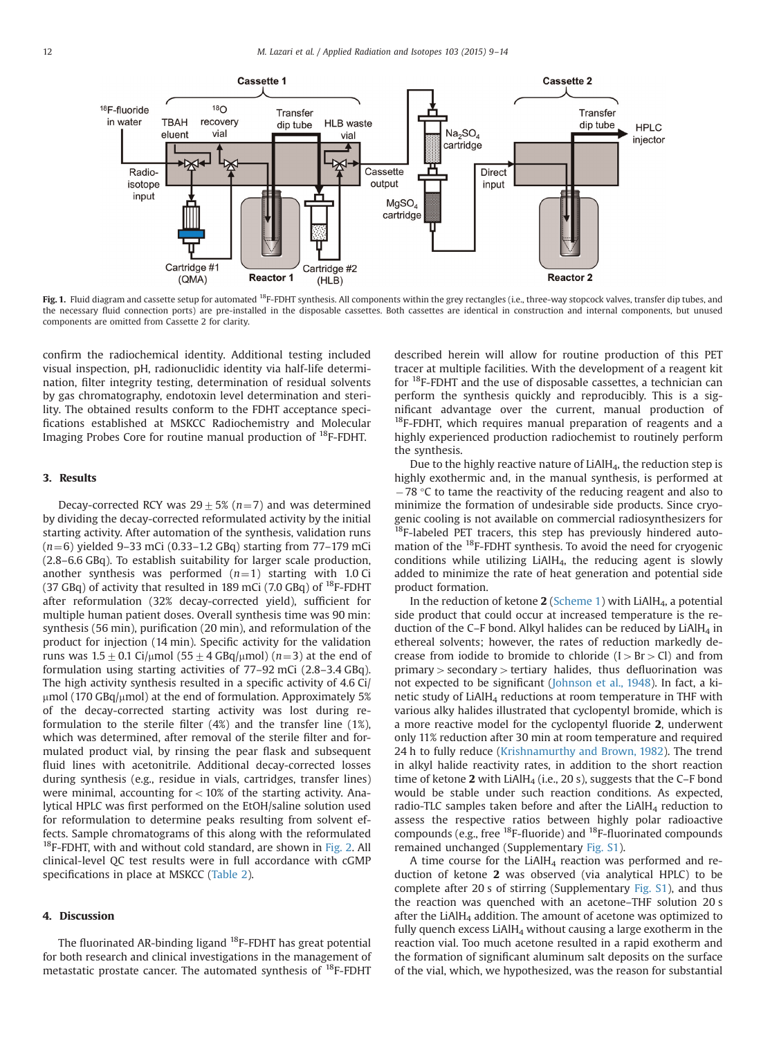<span id="page-3-0"></span>

Fig. 1. Fluid diagram and cassette setup for automated <sup>18</sup>F-FDHT synthesis. All components within the grey rectangles (i.e., three-way stopcock valves, transfer dip tubes, and the necessary fluid connection ports) are pre-installed in the disposable cassettes. Both cassettes are identical in construction and internal components, but unused components are omitted from Cassette 2 for clarity.

confirm the radiochemical identity. Additional testing included visual inspection, pH, radionuclidic identity via half-life determination, filter integrity testing, determination of residual solvents by gas chromatography, endotoxin level determination and sterility. The obtained results conform to the FDHT acceptance specifications established at MSKCC Radiochemistry and Molecular Imaging Probes Core for routine manual production of 18F-FDHT.

## 3. Results

Decay-corrected RCY was  $29 \pm 5\%$  (n=7) and was determined by dividing the decay-corrected reformulated activity by the initial starting activity. After automation of the synthesis, validation runs  $(n=6)$  yielded 9–33 mCi (0.33–1.2 GBq) starting from 77–179 mCi (2.8–6.6 GBq). To establish suitability for larger scale production, another synthesis was performed  $(n=1)$  starting with 1.0 Ci (37 GBq) of activity that resulted in 189 mCi (7.0 GBq) of  $^{18}$ F-FDHT after reformulation (32% decay-corrected yield), sufficient for multiple human patient doses. Overall synthesis time was 90 min: synthesis (56 min), purification (20 min), and reformulation of the product for injection (14 min). Specific activity for the validation runs was  $1.5\pm0.1$  Ci/ $\mu$ mol (55 $\pm$ 4 GBq/ $\mu$ mol) (n=3) at the end of formulation using starting activities of 77–92 mCi (2.8–3.4 GBq). The high activity synthesis resulted in a specific activity of 4.6 Ci/  $\mu$ mol (170 GBq/ $\mu$ mol) at the end of formulation. Approximately 5% of the decay-corrected starting activity was lost during reformulation to the sterile filter (4%) and the transfer line (1%), which was determined, after removal of the sterile filter and formulated product vial, by rinsing the pear flask and subsequent fluid lines with acetonitrile. Additional decay-corrected losses during synthesis (e.g., residue in vials, cartridges, transfer lines) were minimal, accounting for  $<$  10% of the starting activity. Analytical HPLC was first performed on the EtOH/saline solution used for reformulation to determine peaks resulting from solvent effects. Sample chromatograms of this along with the reformulated  $18F-FDHT$ , with and without cold standard, are shown in [Fig. 2](#page-4-0). All clinical-level QC test results were in full accordance with cGMP specifications in place at MSKCC ([Table 2](#page-4-0)).

#### 4. Discussion

The fluorinated AR-binding ligand <sup>18</sup>F-FDHT has great potential for both research and clinical investigations in the management of metastatic prostate cancer. The automated synthesis of 18F-FDHT described herein will allow for routine production of this PET tracer at multiple facilities. With the development of a reagent kit for <sup>18</sup>F-FDHT and the use of disposable cassettes, a technician can perform the synthesis quickly and reproducibly. This is a significant advantage over the current, manual production of  $18$ F-FDHT, which requires manual preparation of reagents and a highly experienced production radiochemist to routinely perform the synthesis.

Due to the highly reactive nature of LiAlH4, the reduction step is highly exothermic and, in the manual synthesis, is performed at  $-78$  °C to tame the reactivity of the reducing reagent and also to minimize the formation of undesirable side products. Since cryogenic cooling is not available on commercial radiosynthesizers for  $18F$ -labeled PET tracers, this step has previously hindered automation of the <sup>18</sup>F-FDHT synthesis. To avoid the need for cryogenic conditions while utilizing LiAlH $_4$ , the reducing agent is slowly added to minimize the rate of heat generation and potential side product formation.

In the reduction of ketone  $2$  [\(Scheme 1\)](#page-1-0) with LiAlH<sub>4</sub>, a potential side product that could occur at increased temperature is the reduction of the C–F bond. Alkyl halides can be reduced by  $LiAlH<sub>4</sub>$  in ethereal solvents; however, the rates of reduction markedly decrease from iodide to bromide to chloride  $(I > Br > Cl)$  and from  $primary > secondary > tertiary$  halides, thus defluorination was not expected to be significant [\(Johnson et al., 1948\)](#page-5-0). In fact, a kinetic study of  $LiAlH<sub>4</sub>$  reductions at room temperature in THF with various alky halides illustrated that cyclopentyl bromide, which is a more reactive model for the cyclopentyl fluoride 2, underwent only 11% reduction after 30 min at room temperature and required 24 h to fully reduce ([Krishnamurthy and Brown, 1982\)](#page-5-0). The trend in alkyl halide reactivity rates, in addition to the short reaction time of ketone  $2$  with LiAlH<sub>4</sub> (i.e., 20 s), suggests that the C-F bond would be stable under such reaction conditions. As expected, radio-TLC samples taken before and after the LiAlH $_4$  reduction to assess the respective ratios between highly polar radioactive compounds (e.g., free  $^{18}F$ -fluoride) and  $^{18}F$ -fluorinated compounds remained unchanged (Supplementary [Fig. S1\)](#page-5-0).

A time course for the LiAlH<sub>4</sub> reaction was performed and reduction of ketone 2 was observed (via analytical HPLC) to be complete after 20 s of stirring (Supplementary [Fig. S1\)](#page-5-0), and thus the reaction was quenched with an acetone–THF solution 20 s after the LiAlH<sub>4</sub> addition. The amount of acetone was optimized to fully quench excess  $LiAlH<sub>4</sub>$  without causing a large exotherm in the reaction vial. Too much acetone resulted in a rapid exotherm and the formation of significant aluminum salt deposits on the surface of the vial, which, we hypothesized, was the reason for substantial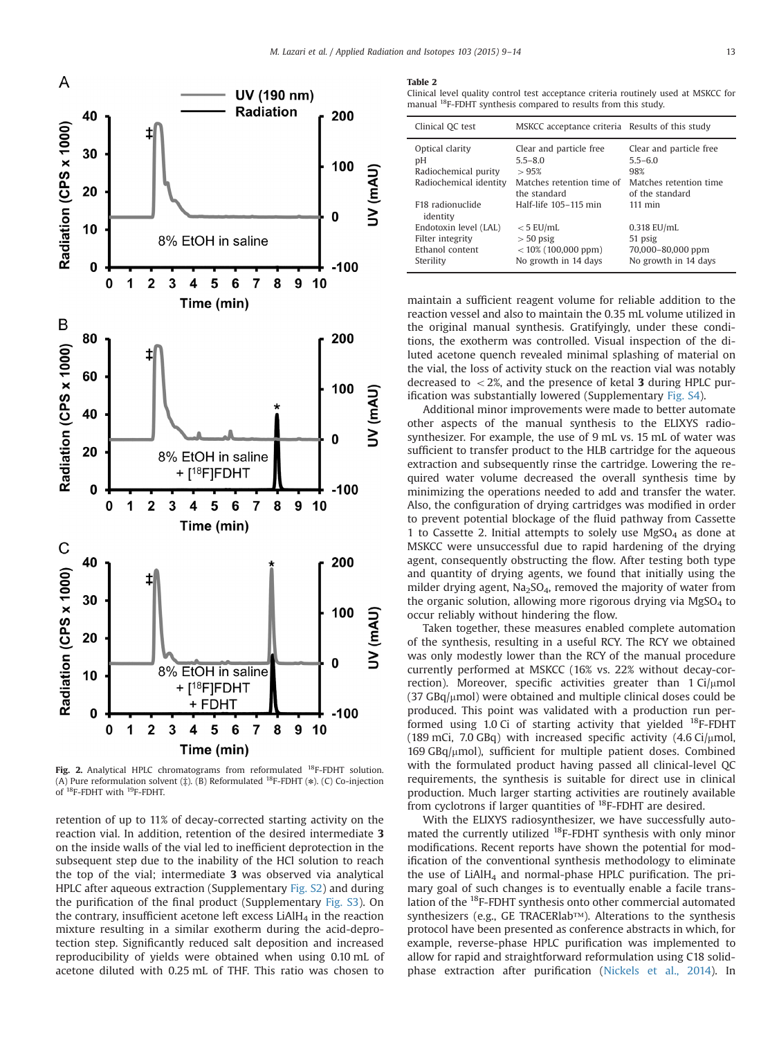<span id="page-4-0"></span>

Fig. 2. Analytical HPLC chromatograms from reformulated <sup>18</sup>F-FDHT solution. (A) Pure reformulation solvent ( $\ddagger$ ). (B) Reformulated <sup>18</sup>F-FDHT (\*). (C) Co-injection of <sup>18</sup>F-FDHT with <sup>19</sup>F-FDHT.

retention of up to 11% of decay-corrected starting activity on the reaction vial. In addition, retention of the desired intermediate 3 on the inside walls of the vial led to inefficient deprotection in the subsequent step due to the inability of the HCl solution to reach the top of the vial; intermediate 3 was observed via analytical HPLC after aqueous extraction (Supplementary [Fig. S2\)](#page-5-0) and during the purification of the final product (Supplementary [Fig. S3](#page-5-0)). On the contrary, insufficient acetone left excess  $LiAlH<sub>4</sub>$  in the reaction mixture resulting in a similar exotherm during the acid-deprotection step. Significantly reduced salt deposition and increased reproducibility of yields were obtained when using 0.10 mL of acetone diluted with 0.25 mL of THF. This ratio was chosen to

#### Table 2

Clinical level quality control test acceptance criteria routinely used at MSKCC for manual 18F-FDHT synthesis compared to results from this study.

| Clinical QC test                                                          | MSKCC acceptance criteria Results of this study                             |                                                                       |
|---------------------------------------------------------------------------|-----------------------------------------------------------------------------|-----------------------------------------------------------------------|
| Optical clarity<br>рH<br>Radiochemical purity                             | Clear and particle free<br>$5.5 - 8.0$<br>>95%                              | Clear and particle free<br>$5.5 - 6.0$<br>98%                         |
| Radiochemical identity                                                    | Matches retention time of<br>the standard                                   | Matches retention time<br>of the standard                             |
| F18 radionuclide<br>identity                                              | Half-life 105-115 min                                                       | $111 \text{ min}$                                                     |
| Endotoxin level (LAL)<br>Filter integrity<br>Ethanol content<br>Sterility | $<$ 5 EU/mL<br>$>$ 50 psig<br>$<$ 10% (100,000 ppm)<br>No growth in 14 days | $0.318$ EU/mL<br>51 psig<br>70,000-80,000 ppm<br>No growth in 14 days |

maintain a sufficient reagent volume for reliable addition to the reaction vessel and also to maintain the 0.35 mL volume utilized in the original manual synthesis. Gratifyingly, under these conditions, the exotherm was controlled. Visual inspection of the diluted acetone quench revealed minimal splashing of material on the vial, the loss of activity stuck on the reaction vial was notably decreased to  $<$  2%, and the presence of ketal 3 during HPLC purification was substantially lowered (Supplementary [Fig. S4](#page-5-0)).

Additional minor improvements were made to better automate other aspects of the manual synthesis to the ELIXYS radiosynthesizer. For example, the use of 9 mL vs. 15 mL of water was sufficient to transfer product to the HLB cartridge for the aqueous extraction and subsequently rinse the cartridge. Lowering the required water volume decreased the overall synthesis time by minimizing the operations needed to add and transfer the water. Also, the configuration of drying cartridges was modified in order to prevent potential blockage of the fluid pathway from Cassette 1 to Cassette 2. Initial attempts to solely use  $MgSO<sub>4</sub>$  as done at MSKCC were unsuccessful due to rapid hardening of the drying agent, consequently obstructing the flow. After testing both type and quantity of drying agents, we found that initially using the milder drying agent,  $Na<sub>2</sub>SO<sub>4</sub>$ , removed the majority of water from the organic solution, allowing more rigorous drying via  $MgSO<sub>4</sub>$  to occur reliably without hindering the flow.

Taken together, these measures enabled complete automation of the synthesis, resulting in a useful RCY. The RCY we obtained was only modestly lower than the RCY of the manual procedure currently performed at MSKCC (16% vs. 22% without decay-correction). Moreover, specific activities greater than  $1 \text{ Ci}/\mu \text{mol}$  $(37 \text{ GBq/µmol})$  were obtained and multiple clinical doses could be produced. This point was validated with a production run performed using 1.0 Ci of starting activity that yielded <sup>18</sup>F-FDHT (189 mCi, 7.0 GBq) with increased specific activity  $(4.6 \text{ Ci}/\mu \text{mol})$ ,  $169$  GBq/ $\mu$ mol), sufficient for multiple patient doses. Combined with the formulated product having passed all clinical-level QC requirements, the synthesis is suitable for direct use in clinical production. Much larger starting activities are routinely available from cyclotrons if larger quantities of  $^{18}$ F-FDHT are desired.

With the ELIXYS radiosynthesizer, we have successfully automated the currently utilized <sup>18</sup>F-FDHT synthesis with only minor modifications. Recent reports have shown the potential for modification of the conventional synthesis methodology to eliminate the use of  $LiAlH<sub>4</sub>$  and normal-phase HPLC purification. The primary goal of such changes is to eventually enable a facile translation of the 18F-FDHT synthesis onto other commercial automated synthesizers (e.g., GE TRACERlab™). Alterations to the synthesis protocol have been presented as conference abstracts in which, for example, reverse-phase HPLC purification was implemented to allow for rapid and straightforward reformulation using C18 solidphase extraction after purification ([Nickels et al., 2014\)](#page-5-0). In